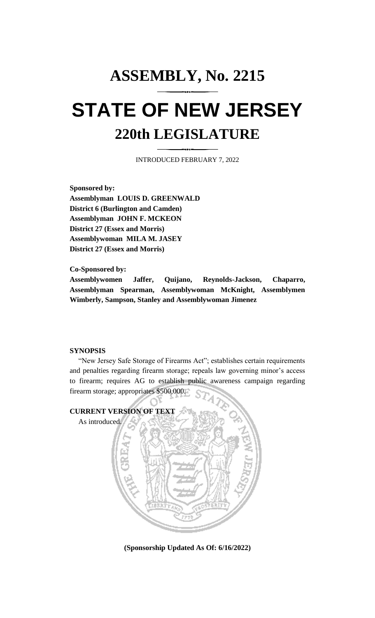# **ASSEMBLY, No. 2215 STATE OF NEW JERSEY 220th LEGISLATURE**

INTRODUCED FEBRUARY 7, 2022

**Sponsored by: Assemblyman LOUIS D. GREENWALD District 6 (Burlington and Camden) Assemblyman JOHN F. MCKEON District 27 (Essex and Morris) Assemblywoman MILA M. JASEY District 27 (Essex and Morris)**

**Co-Sponsored by:**

**Assemblywomen Jaffer, Quijano, Reynolds-Jackson, Chaparro, Assemblyman Spearman, Assemblywoman McKnight, Assemblymen Wimberly, Sampson, Stanley and Assemblywoman Jimenez**

## **SYNOPSIS**

"New Jersey Safe Storage of Firearms Act"; establishes certain requirements and penalties regarding firearm storage; repeals law governing minor's access to firearm; requires AG to establish public awareness campaign regarding firearm storage; appropriates \$500,000.



**(Sponsorship Updated As Of: 6/16/2022)**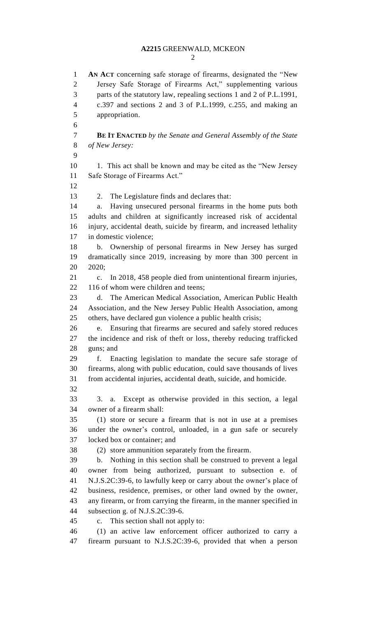# **A2215** GREENWALD, MCKEON

 **AN ACT** concerning safe storage of firearms, designated the "New Jersey Safe Storage of Firearms Act," supplementing various parts of the statutory law, repealing sections 1 and 2 of P.L.1991, c.397 and sections 2 and 3 of P.L.1999, c.255, and making an appropriation. **BE IT ENACTED** *by the Senate and General Assembly of the State of New Jersey:* 10 1. This act shall be known and may be cited as the "New Jersey" Safe Storage of Firearms Act." 2. The Legislature finds and declares that: a. Having unsecured personal firearms in the home puts both adults and children at significantly increased risk of accidental injury, accidental death, suicide by firearm, and increased lethality in domestic violence; b. Ownership of personal firearms in New Jersey has surged dramatically since 2019, increasing by more than 300 percent in 2020; c. In 2018, 458 people died from unintentional firearm injuries, 22 116 of whom were children and teens; d. The American Medical Association, American Public Health Association, and the New Jersey Public Health Association, among others, have declared gun violence a public health crisis; e. Ensuring that firearms are secured and safely stored reduces the incidence and risk of theft or loss, thereby reducing trafficked guns; and f. Enacting legislation to mandate the secure safe storage of firearms, along with public education, could save thousands of lives from accidental injuries, accidental death, suicide, and homicide. 3. a. Except as otherwise provided in this section, a legal owner of a firearm shall: (1) store or secure a firearm that is not in use at a premises under the owner's control, unloaded, in a gun safe or securely locked box or container; and (2) store ammunition separately from the firearm. b. Nothing in this section shall be construed to prevent a legal owner from being authorized, pursuant to subsection e. of N.J.S.2C:39-6, to lawfully keep or carry about the owner's place of business, residence, premises, or other land owned by the owner, any firearm, or from carrying the firearm, in the manner specified in subsection g. of N.J.S.2C:39-6. c. This section shall not apply to: (1) an active law enforcement officer authorized to carry a

firearm pursuant to N.J.S.2C:39-6, provided that when a person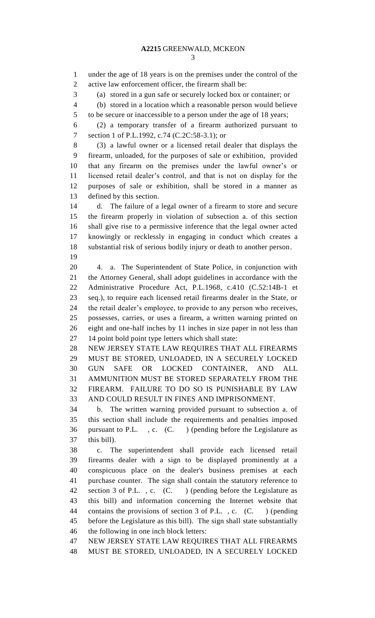under the age of 18 years is on the premises under the control of the active law enforcement officer, the firearm shall be: (a) stored in a gun safe or securely locked box or container; or (b) stored in a location which a reasonable person would believe to be secure or inaccessible to a person under the age of 18 years; (2) a temporary transfer of a firearm authorized pursuant to section 1 of P.L.1992, c.74 (C.2C:58-3.1); or (3) a lawful owner or a licensed retail dealer that displays the firearm, unloaded, for the purposes of sale or exhibition, provided that any firearm on the premises under the lawful owner's or licensed retail dealer's control, and that is not on display for the purposes of sale or exhibition, shall be stored in a manner as defined by this section. d. The failure of a legal owner of a firearm to store and secure the firearm properly in violation of subsection a. of this section shall give rise to a permissive inference that the legal owner acted knowingly or recklessly in engaging in conduct which creates a substantial risk of serious bodily injury or death to another person. 4. a. The Superintendent of State Police, in conjunction with the Attorney General, shall adopt guidelines in accordance with the Administrative Procedure Act, P.L.1968, c.410 (C.52:14B-1 et seq.), to require each licensed retail firearms dealer in the State, or the retail dealer's employee, to provide to any person who receives, possesses, carries, or uses a firearm, a written warning printed on eight and one-half inches by 11 inches in size paper in not less than 14 point bold point type letters which shall state: NEW JERSEY STATE LAW REQUIRES THAT ALL FIREARMS MUST BE STORED, UNLOADED, IN A SECURELY LOCKED GUN SAFE OR LOCKED CONTAINER, AND ALL AMMUNITION MUST BE STORED SEPARATELY FROM THE FIREARM. FAILURE TO DO SO IS PUNISHABLE BY LAW AND COULD RESULT IN FINES AND IMPRISONMENT. b. The written warning provided pursuant to subsection a. of this section shall include the requirements and penalties imposed pursuant to P.L. , c. (C. ) (pending before the Legislature as this bill). c. The superintendent shall provide each licensed retail firearms dealer with a sign to be displayed prominently at a conspicuous place on the dealer's business premises at each purchase counter. The sign shall contain the statutory reference to 42 section 3 of P.L., c. (C.) (pending before the Legislature as this bill) and information concerning the Internet website that contains the provisions of section 3 of P.L. , c. (C. ) (pending before the Legislature as this bill). The sign shall state substantially the following in one inch block letters: NEW JERSEY STATE LAW REQUIRES THAT ALL FIREARMS MUST BE STORED, UNLOADED, IN A SECURELY LOCKED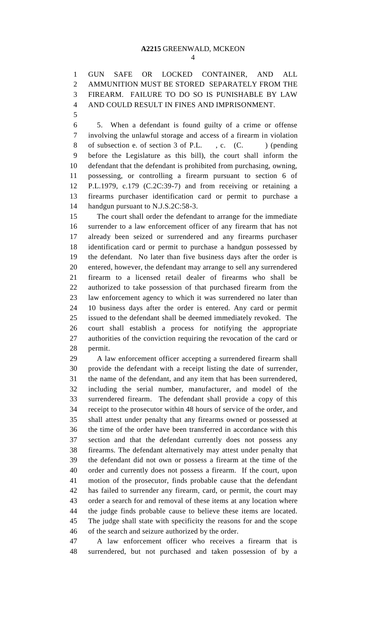GUN SAFE OR LOCKED CONTAINER, AND ALL AMMUNITION MUST BE STORED SEPARATELY FROM THE FIREARM. FAILURE TO DO SO IS PUNISHABLE BY LAW AND COULD RESULT IN FINES AND IMPRISONMENT.

 5. When a defendant is found guilty of a crime or offense involving the unlawful storage and access of a firearm in violation 8 of subsection e. of section 3 of P.L., c. (C.) (pending before the Legislature as this bill), the court shall inform the defendant that the defendant is prohibited from purchasing, owning, possessing, or controlling a firearm pursuant to section 6 of P.L.1979, c.179 (C.2C:39-7) and from receiving or retaining a firearms purchaser identification card or permit to purchase a handgun pursuant to N.J.S.2C:58-3.

 The court shall order the defendant to arrange for the immediate surrender to a law enforcement officer of any firearm that has not already been seized or surrendered and any firearms purchaser identification card or permit to purchase a handgun possessed by the defendant. No later than five business days after the order is entered, however, the defendant may arrange to sell any surrendered firearm to a licensed retail dealer of firearms who shall be authorized to take possession of that purchased firearm from the law enforcement agency to which it was surrendered no later than 10 business days after the order is entered. Any card or permit issued to the defendant shall be deemed immediately revoked. The court shall establish a process for notifying the appropriate authorities of the conviction requiring the revocation of the card or permit.

 A law enforcement officer accepting a surrendered firearm shall provide the defendant with a receipt listing the date of surrender, the name of the defendant, and any item that has been surrendered, including the serial number, manufacturer, and model of the surrendered firearm. The defendant shall provide a copy of this receipt to the prosecutor within 48 hours of service of the order, and shall attest under penalty that any firearms owned or possessed at the time of the order have been transferred in accordance with this section and that the defendant currently does not possess any firearms. The defendant alternatively may attest under penalty that the defendant did not own or possess a firearm at the time of the order and currently does not possess a firearm. If the court, upon motion of the prosecutor, finds probable cause that the defendant has failed to surrender any firearm, card, or permit, the court may order a search for and removal of these items at any location where the judge finds probable cause to believe these items are located. The judge shall state with specificity the reasons for and the scope of the search and seizure authorized by the order.

 A law enforcement officer who receives a firearm that is surrendered, but not purchased and taken possession of by a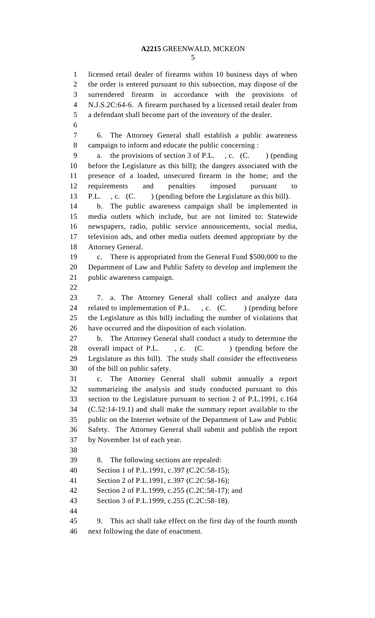### **A2215** GREENWALD, MCKEON

 licensed retail dealer of firearms within 10 business days of when the order is entered pursuant to this subsection, may dispose of the

 surrendered firearm in accordance with the provisions of N.J.S.2C:64-6. A firearm purchased by a licensed retail dealer from a defendant shall become part of the inventory of the dealer. 6. The Attorney General shall establish a public awareness campaign to inform and educate the public concerning : 9 a. the provisions of section 3 of P.L., c. (C. ) (pending before the Legislature as this bill); the dangers associated with the presence of a loaded, unsecured firearm in the home; and the requirements and penalties imposed pursuant to 13 P.L. , c. (C. ) (pending before the Legislature as this bill). b. The public awareness campaign shall be implemented in media outlets which include, but are not limited to: Statewide newspapers, radio, public service announcements, social media, television ads, and other media outlets deemed appropriate by the Attorney General. c. There is appropriated from the General Fund \$500,000 to the Department of Law and Public Safety to develop and implement the public awareness campaign. 7. a. The Attorney General shall collect and analyze data 24 related to implementation of P.L., c. (C.) (pending before the Legislature as this bill) including the number of violations that have occurred and the disposition of each violation. b. The Attorney General shall conduct a study to determine the 28 overall impact of P.L., c. (C.) (pending before the Legislature as this bill). The study shall consider the effectiveness of the bill on public safety. c. The Attorney General shall submit annually a report summarizing the analysis and study conducted pursuant to this section to the Legislature pursuant to section 2 of P.L.1991, c.164 (C.52:14-19.1) and shall make the summary report available to the public on the Internet website of the Department of Law and Public Safety. The Attorney General shall submit and publish the report by November 1st of each year. 8. The following sections are repealed: Section 1 of P.L.1991, c.397 (C.2C:58-15); Section 2 of P.L.1991, c.397 (C.2C:58-16); Section 2 of P.L.1999, c.255 (C.2C:58-17); and Section 3 of P.L.1999, c.255 (C.2C:58-18). 9. This act shall take effect on the first day of the fourth month next following the date of enactment.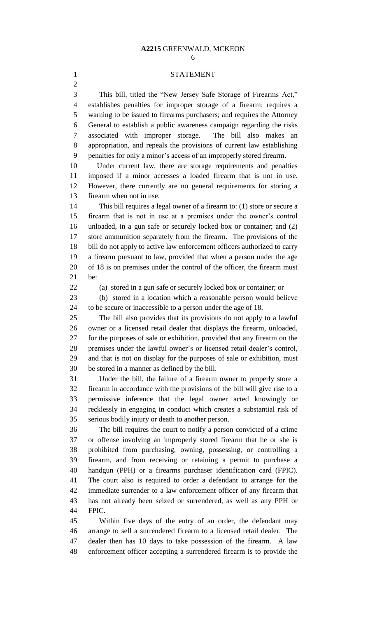#### **A2215** GREENWALD, MCKEON

#### STATEMENT

 This bill, titled the "New Jersey Safe Storage of Firearms Act," establishes penalties for improper storage of a firearm; requires a warning to be issued to firearms purchasers; and requires the Attorney General to establish a public awareness campaign regarding the risks associated with improper storage. The bill also makes an appropriation, and repeals the provisions of current law establishing penalties for only a minor's access of an improperly stored firearm.

 Under current law, there are storage requirements and penalties imposed if a minor accesses a loaded firearm that is not in use. However, there currently are no general requirements for storing a firearm when not in use.

 This bill requires a legal owner of a firearm to: (1) store or secure a firearm that is not in use at a premises under the owner's control unloaded, in a gun safe or securely locked box or container; and (2) store ammunition separately from the firearm. The provisions of the bill do not apply to active law enforcement officers authorized to carry a firearm pursuant to law, provided that when a person under the age of 18 is on premises under the control of the officer, the firearm must be:

(a) stored in a gun safe or securely locked box or container; or

 (b) stored in a location which a reasonable person would believe to be secure or inaccessible to a person under the age of 18.

 The bill also provides that its provisions do not apply to a lawful owner or a licensed retail dealer that displays the firearm, unloaded, for the purposes of sale or exhibition, provided that any firearm on the premises under the lawful owner's or licensed retail dealer's control, and that is not on display for the purposes of sale or exhibition, must be stored in a manner as defined by the bill.

 Under the bill, the failure of a firearm owner to properly store a firearm in accordance with the provisions of the bill will give rise to a permissive inference that the legal owner acted knowingly or recklessly in engaging in conduct which creates a substantial risk of serious bodily injury or death to another person.

 The bill requires the court to notify a person convicted of a crime or offense involving an improperly stored firearm that he or she is prohibited from purchasing, owning, possessing, or controlling a firearm, and from receiving or retaining a permit to purchase a handgun (PPH) or a firearms purchaser identification card (FPIC). The court also is required to order a defendant to arrange for the immediate surrender to a law enforcement officer of any firearm that has not already been seized or surrendered, as well as any PPH or FPIC.

 Within five days of the entry of an order, the defendant may arrange to sell a surrendered firearm to a licensed retail dealer. The dealer then has 10 days to take possession of the firearm. A law enforcement officer accepting a surrendered firearm is to provide the